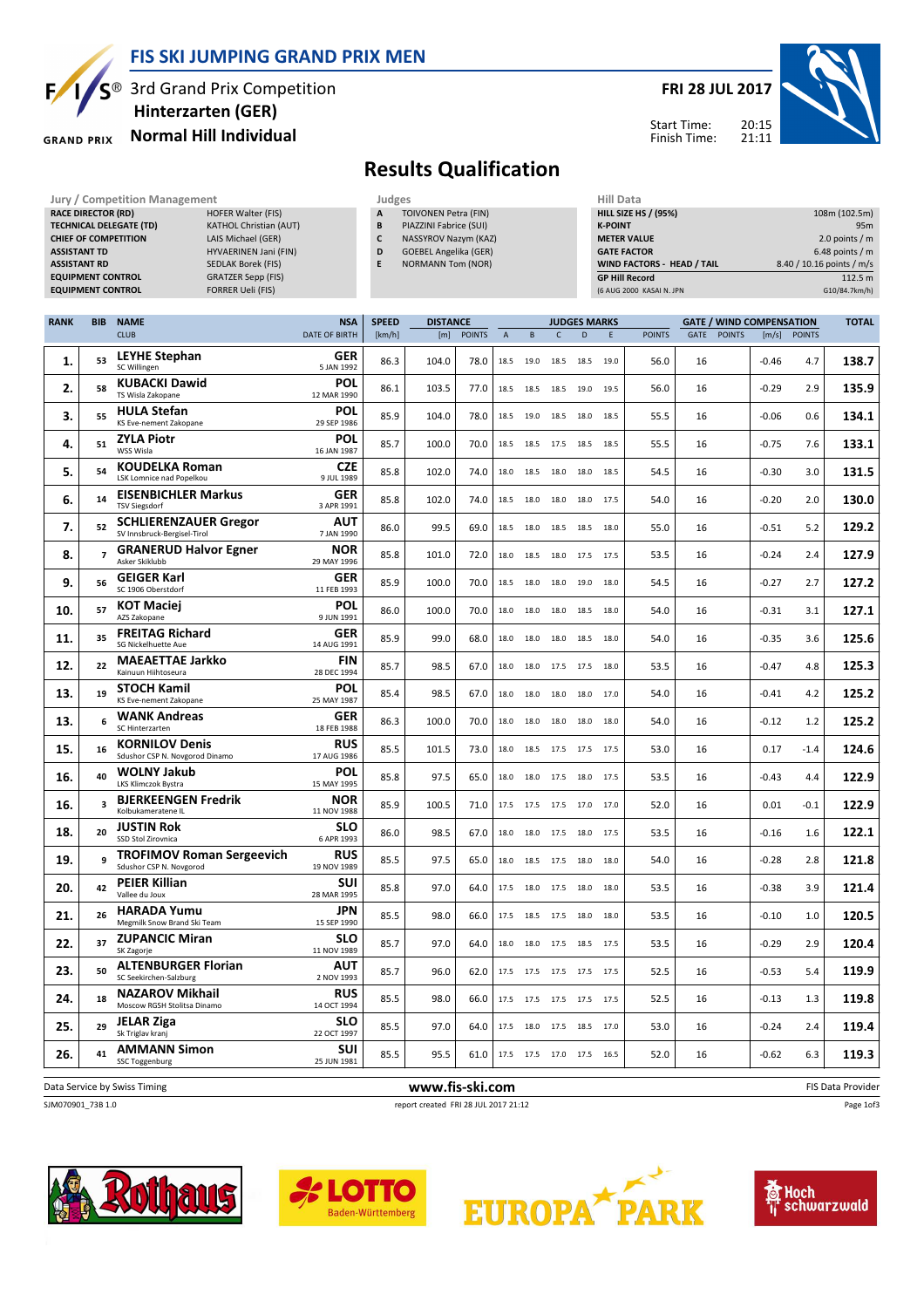

S<sup>®</sup> 3rd Grand Prix Competition Hinterzarten (GER)

#### Normal Hill Individual **GRAND PRIX**

### FRI 28 JUL 2017



Start Time: Finish Time:

# Results Qualification

Jury / Competition Management<br> **RACE DIRECTOR (RD)** HOFER Walter (FIS) **A TOIVONEN Petra (FIN)** HILL SIZE HILL SIZE HILL SIZE RACE DIRECTOR (RD) TECHNICAL DELEGATE (TD) KATHOL Christian (AUT) CHIEF OF COMPETITION LAIS Michael (GER) ASSISTANT TD **HYVAERINEN Jani (FIN)** ASSISTANT RD SEDLAK Borek (FIS) EQUIPMENT CONTROL GRATZER Sepp (FIS) EQUIPMENT CONTROL FORRER Ueli (FIS)

TOIVONEN Petra (FIN) B PIAZZINI Fabrice (SUI) C NASSYROV Nazym (KAZ) D GOEBEL Angelika (GER) E NORMANN Tom (NOR)

| <b>HILL SIZE HS / (95%)</b> | 108m (102.5m)             |
|-----------------------------|---------------------------|
| <b>K-POINT</b>              | 95 <sub>m</sub>           |
| <b>METER VALUE</b>          | 2.0 points $/m$           |
| <b>GATE FACTOR</b>          | 6.48 points $/m$          |
| WIND FACTORS - HEAD / TAIL  | 8.40 / 10.16 points / m/s |
| <b>GP Hill Record</b>       | 112.5 m                   |
| (6 AUG 2000 KASAI N. JPN    | G10/84.7km/h)             |
|                             |                           |

| <b>RANK</b> | <b>BIB</b>              | <b>NAME</b>                                                 | <b>NSA</b>                | <b>SPEED</b> | <b>DISTANCE</b> |               |                           | <b>JUDGES MARKS</b> |              |                          |      |               | <b>GATE / WIND COMPENSATION</b> |               |         |               |                   |
|-------------|-------------------------|-------------------------------------------------------------|---------------------------|--------------|-----------------|---------------|---------------------------|---------------------|--------------|--------------------------|------|---------------|---------------------------------|---------------|---------|---------------|-------------------|
|             |                         | <b>CLUB</b>                                                 | DATE OF BIRTH             | [km/h]       | [m]             | <b>POINTS</b> | $\boldsymbol{\mathsf{A}}$ | B                   | $\mathsf{C}$ | D                        | E    | <b>POINTS</b> | GATE                            | <b>POINTS</b> | [m/s]   | <b>POINTS</b> |                   |
| 1.          | 53                      | <b>LEYHE Stephan</b><br>SC Willingen                        | GER<br>5 JAN 1992         | 86.3         | 104.0           | 78.0          | 18.5                      | 19.0                | 18.5         | 18.5 19.0                |      | 56.0          | 16                              |               | $-0.46$ | 4.7           | 138.7             |
| 2.          | 58                      | <b>KUBACKI Dawid</b><br>TS Wisla Zakopane                   | <b>POL</b><br>12 MAR 1990 | 86.1         | 103.5           | 77.0          | 18.5                      | 18.5                | 18.5         | 19.0                     | 19.5 | 56.0          | 16                              |               | $-0.29$ | 2.9           | 135.9             |
| 3.          | 55                      | <b>HULA Stefan</b><br>KS Eve-nement Zakopane                | <b>POL</b><br>29 SEP 1986 | 85.9         | 104.0           | 78.0          | 18.5                      | 19.0                | 18.5         | 18.0                     | 18.5 | 55.5          | 16                              |               | $-0.06$ | 0.6           | 134.1             |
| 4.          | 51                      | <b>ZYLA Piotr</b><br>WSS Wisla                              | <b>POL</b><br>16 JAN 1987 | 85.7         | 100.0           | 70.0          | 18.5                      | 18.5                | 17.5         | 18.5 18.5                |      | 55.5          | 16                              |               | $-0.75$ | 7.6           | 133.1             |
| 5.          | 54                      | <b>KOUDELKA Roman</b><br>LSK Lomnice nad Popelkou           | <b>CZE</b><br>9 JUL 1989  | 85.8         | 102.0           | 74.0          | 18.0                      | 18.5                | 18.0         | 18.0                     | 18.5 | 54.5          | 16                              |               | $-0.30$ | 3.0           | 131.5             |
| 6.          | 14                      | <b>EISENBICHLER Markus</b><br><b>TSV Siegsdorf</b>          | <b>GER</b><br>3 APR 1991  | 85.8         | 102.0           | 74.0          | 18.5                      | 18.0                | 18.0         | 18.0                     | 17.5 | 54.0          | 16                              |               | $-0.20$ | 2.0           | 130.0             |
| 7.          | 52                      | <b>SCHLIERENZAUER Gregor</b><br>SV Innsbruck-Bergisel-Tirol | AUT<br>7 JAN 1990         | 86.0         | 99.5            | 69.0          | 18.5                      | 18.0                | 18.5         | 18.5 18.0                |      | 55.0          | 16                              |               | $-0.51$ | 5.2           | 129.2             |
| 8.          | $\overline{7}$          | <b>GRANERUD Halvor Egner</b><br>Asker Skiklubb              | <b>NOR</b><br>29 MAY 1996 | 85.8         | 101.0           | 72.0          | 18.0                      | 18.5                |              | 18.0 17.5 17.5           |      | 53.5          | 16                              |               | $-0.24$ | 2.4           | 127.9             |
| 9.          | 56                      | <b>GEIGER Karl</b><br>SC 1906 Oberstdorf                    | <b>GER</b><br>11 FEB 1993 | 85.9         | 100.0           | 70.0          | 18.5                      | 18.0                | 18.0         | 19.0                     | 18.0 | 54.5          | 16                              |               | $-0.27$ | 2.7           | 127.2             |
| 10.         | 57                      | <b>KOT Maciej</b><br>AZS Zakopane                           | <b>POL</b><br>9 JUN 1991  | 86.0         | 100.0           | 70.0          | 18.0                      | 18.0                | 18.0         | 18.5 18.0                |      | 54.0          | 16                              |               | $-0.31$ | 3.1           | 127.1             |
| 11.         | 35                      | <b>FREITAG Richard</b><br>SG Nickelhuette Aue               | <b>GER</b><br>14 AUG 1991 | 85.9         | 99.0            | 68.0          | 18.0                      | 18.0                | 18.0         | 18.5                     | 18.0 | 54.0          | 16                              |               | $-0.35$ | 3.6           | 125.6             |
| 12.         | 22                      | <b>MAEAETTAE Jarkko</b><br>Kainuun Hiihtoseura              | <b>FIN</b><br>28 DEC 1994 | 85.7         | 98.5            | 67.0          | 18.0                      | 18.0                | 17.5         | 17.5                     | 18.0 | 53.5          | 16                              |               | $-0.47$ | 4.8           | 125.3             |
| 13.         | 19                      | <b>STOCH Kamil</b><br>KS Eve-nement Zakopane                | <b>POL</b><br>25 MAY 1987 | 85.4         | 98.5            | 67.0          | 18.0                      | 18.0                | 18.0         | 18.0                     | 17.0 | 54.0          | 16                              |               | $-0.41$ | 4.2           | 125.2             |
| 13.         | 6                       | <b>WANK Andreas</b><br>SC Hinterzarten                      | <b>GER</b><br>18 FEB 1988 | 86.3         | 100.0           | 70.0          | 18.0                      | 18.0                | 18.0         | 18.0                     | 18.0 | 54.0          | 16                              |               | $-0.12$ | 1.2           | 125.2             |
| 15.         | 16                      | <b>KORNILOV Denis</b><br>Sdushor CSP N. Novgorod Dinamo     | <b>RUS</b><br>17 AUG 1986 | 85.5         | 101.5           | 73.0          | 18.0                      | 18.5                | 17.5         | 17.5                     | 17.5 | 53.0          | 16                              |               | 0.17    | $-1.4$        | 124.6             |
| 16.         | 40                      | <b>WOLNY Jakub</b><br>LKS Klimczok Bystra                   | <b>POL</b><br>15 MAY 1995 | 85.8         | 97.5            | 65.0          | 18.0                      | 18.0                |              | 17.5 18.0 17.5           |      | 53.5          | 16                              |               | $-0.43$ | 4.4           | 122.9             |
| 16.         | $\overline{\mathbf{3}}$ | <b>BJERKEENGEN Fredrik</b><br>Kolbukameratene IL            | NOR<br>11 NOV 1988        | 85.9         | 100.5           | 71.0          | 17.5                      | 17.5                |              | 17.5 17.0 17.0           |      | 52.0          | 16                              |               | 0.01    | $-0.1$        | 122.9             |
| 18.         | 20                      | <b>JUSTIN Rok</b><br>SSD Stol Zirovnica                     | <b>SLO</b><br>6 APR 1993  | 86.0         | 98.5            | 67.0          | 18.0                      | 18.0                | 17.5         | 18.0                     | 17.5 | 53.5          | 16                              |               | $-0.16$ | 1.6           | 122.1             |
| 19.         | $\mathbf{q}$            | <b>TROFIMOV Roman Sergeevich</b><br>Sdushor CSP N. Novgorod | <b>RUS</b><br>19 NOV 1989 | 85.5         | 97.5            | 65.0          | 18.0                      | 18.5                | 17.5 18.0    |                          | 18.0 | 54.0          | 16                              |               | $-0.28$ | 2.8           | 121.8             |
| 20.         | 42                      | <b>PEIER Killian</b><br>Vallee du Joux                      | SUI<br>28 MAR 1995        | 85.8         | 97.0            | 64.0          | 17.5                      | 18.0                | 17.5 18.0    |                          | 18.0 | 53.5          | 16                              |               | $-0.38$ | 3.9           | 121.4             |
| 21.         | 26                      | <b>HARADA Yumu</b><br>Megmilk Snow Brand Ski Team           | <b>JPN</b><br>15 SEP 1990 | 85.5         | 98.0            | 66.0          | 17.5                      | 18.5                | 17.5 18.0    |                          | 18.0 | 53.5          | 16                              |               | $-0.10$ | 1.0           | 120.5             |
| 22.         | 37                      | <b>ZUPANCIC Miran</b><br>SK Zagorje                         | SLO<br>11 NOV 1989        | 85.7         | 97.0            | 64.0          | 18.0                      | 18.0                |              | 17.5 18.5 17.5           |      | 53.5          | 16                              |               | $-0.29$ | 2.9           | 120.4             |
| 23.         | 50                      | <b>ALTENBURGER Florian</b><br>SC Seekirchen-Salzburg        | <b>AUT</b><br>2 NOV 1993  | 85.7         | 96.0            | 62.0          | 17.5                      | 17.5                |              | 17.5 17.5 17.5           |      | 52.5          | 16                              |               | $-0.53$ | 5.4           | 119.9             |
| 24.         | 18                      | <b>NAZAROV Mikhail</b><br>Moscow RGSH Stolitsa Dinamo       | <b>RUS</b><br>14 OCT 1994 | 85.5         | 98.0            | 66.0          | 17.5                      | 17.5                |              | 17.5 17.5 17.5           |      | 52.5          | 16                              |               | $-0.13$ | 1.3           | 119.8             |
| 25.         | 29                      | <b>JELAR Ziga</b><br>Sk Triglav kranj                       | slo<br>22 OCT 1997        | 85.5         | 97.0            | 64.0          | 17.5                      | 18.0                |              | 17.5 18.5 17.0           |      | 53.0          | 16                              |               | $-0.24$ | 2.4           | 119.4             |
| 26.         | 41                      | <b>AMMANN Simon</b><br>SSC Toggenburg                       | SUI<br>25 JUN 1981        | 85.5         | 95.5            | 61.0          |                           |                     |              | 17.5 17.5 17.0 17.5 16.5 |      | 52.0          | 16                              |               | $-0.62$ | 6.3           | 119.3             |
|             |                         | Data Service by Swiss Timing                                |                           |              | www.fis-ski.com |               |                           |                     |              |                          |      |               |                                 |               |         |               | FIS Data Provider |

SJM070901\_73B 1.0 report created FRI 28 JUL 2017 21:12

Page 1of3







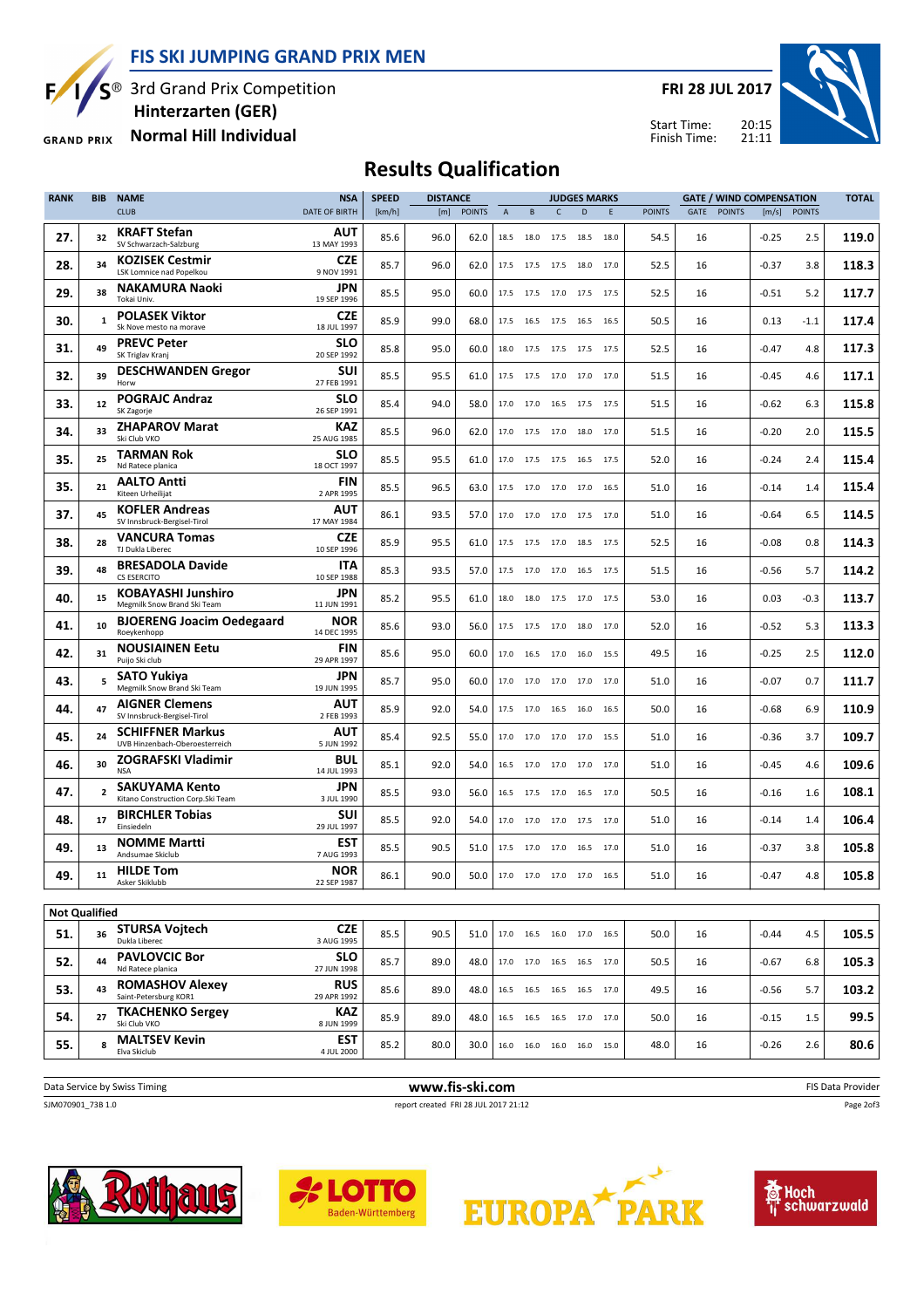FIS SKI JUMPING GRAND PRIX MEN



S<sup>®</sup> 3rd Grand Prix Competition Hinterzarten (GER)

Normal Hill Individual **GRAND PRIX** 

FRI 28 JUL 2017



20:15 21:11 Start Time: Finish Time:

# Results Qualification

| <b>RANK</b>          | <b>BIB</b>     | <b>SPEED</b><br><b>NAME</b><br><b>NSA</b><br><b>DISTANCE</b><br><b>JUDGES MARKS</b> |                           |        | <b>GATE / WIND COMPENSATION</b> |               |      |                                      |                |                |      |               |      |               |         |               |       |
|----------------------|----------------|-------------------------------------------------------------------------------------|---------------------------|--------|---------------------------------|---------------|------|--------------------------------------|----------------|----------------|------|---------------|------|---------------|---------|---------------|-------|
|                      |                | <b>CLUB</b>                                                                         | <b>DATE OF BIRTH</b>      | [km/h] | [m]                             | <b>POINTS</b> | A    | B                                    | $\mathsf{C}$   | D              | E    | <b>POINTS</b> | GATE | <b>POINTS</b> | [m/s]   | <b>POINTS</b> |       |
| 27.                  | 32             | <b>KRAFT Stefan</b><br>SV Schwarzach-Salzburg                                       | <b>AUT</b><br>13 MAY 1993 | 85.6   | 96.0                            | 62.0          | 18.5 | 18.0                                 | 17.5           | 18.5           | 18.0 | 54.5          | 16   |               | $-0.25$ | 2.5           | 119.0 |
| 28.                  | 34             | <b>KOZISEK Cestmir</b><br><b>LSK Lomnice nad Popelkou</b>                           | CZE<br>9 NOV 1991         | 85.7   | 96.0                            | 62.0          | 17.5 | 17.5                                 | 17.5           | 18.0 17.0      |      | 52.5          | 16   |               | $-0.37$ | 3.8           | 118.3 |
| 29.                  | 38             | <b>NAKAMURA Naoki</b><br>Tokai Univ.                                                | <b>JPN</b><br>19 SEP 1996 | 85.5   | 95.0                            | 60.0          |      | 17.5 17.5 17.0 17.5 17.5             |                |                |      | 52.5          | 16   |               | $-0.51$ | 5.2           | 117.7 |
| 30.                  | $\mathbf{1}$   | <b>POLASEK Viktor</b><br>Sk Nove mesto na morave                                    | CZE<br>18 JUL 1997        | 85.9   | 99.0                            | 68.0          | 17.5 | 16.5                                 | 17.5           | 16.5 16.5      |      | 50.5          | 16   |               | 0.13    | $-1.1$        | 117.4 |
| 31.                  | 49             | <b>PREVC Peter</b><br>SK Triglav Kranj                                              | <b>SLO</b><br>20 SEP 1992 | 85.8   | 95.0                            | 60.0          |      | 18.0 17.5 17.5 17.5 17.5             |                |                |      | 52.5          | 16   |               | $-0.47$ | 4.8           | 117.3 |
| 32.                  | 39             | <b>DESCHWANDEN Gregor</b><br>Horw                                                   | SUI<br>27 FEB 1991        | 85.5   | 95.5                            | 61.0          | 17.5 | 17.5                                 | 17.0 17.0 17.0 |                |      | 51.5          | 16   |               | $-0.45$ | 4.6           | 117.1 |
| 33.                  | 12             | <b>POGRAJC Andraz</b><br>SK Zagorje                                                 | <b>SLO</b><br>26 SEP 1991 | 85.4   | 94.0                            | 58.0          | 17.0 | 17.0                                 | 16.5 17.5 17.5 |                |      | 51.5          | 16   |               | $-0.62$ | 6.3           | 115.8 |
| 34.                  | 33             | <b>ZHAPAROV Marat</b><br>Ski Club VKO                                               | KAZ<br>25 AUG 1985        | 85.5   | 96.0                            | 62.0          | 17.0 | 17.5                                 | 17.0           | 18.0 17.0      |      | 51.5          | 16   |               | $-0.20$ | 2.0           | 115.5 |
| 35.                  | 25             | TARMAN Rok<br>Nd Ratece planica                                                     | <b>SLO</b><br>18 OCT 1997 | 85.5   | 95.5                            | 61.0          | 17.0 | 17.5                                 | 17.5           | 16.5 17.5      |      | 52.0          | 16   |               | $-0.24$ | 2.4           | 115.4 |
| 35.                  | 21             | <b>AALTO Antti</b><br>Kiteen Urheilijat                                             | FIN<br>2 APR 1995         | 85.5   | 96.5                            | 63.0          | 17.5 | 17.0                                 | 17.0           | 17.0 16.5      |      | 51.0          | 16   |               | $-0.14$ | 1.4           | 115.4 |
| 37.                  | 45             | <b>KOFLER Andreas</b><br>SV Innsbruck-Bergisel-Tirol                                | <b>AUT</b><br>17 MAY 1984 | 86.1   | 93.5                            | 57.0          | 17.0 | 17.0                                 | 17.0           | 17.5 17.0      |      | 51.0          | 16   |               | $-0.64$ | 6.5           | 114.5 |
| 38.                  | 28             | <b>VANCURA Tomas</b><br>TJ Dukla Liberec                                            | <b>CZE</b><br>10 SEP 1996 | 85.9   | 95.5                            | 61.0          | 17.5 | 17.5                                 | 17.0           | 18.5 17.5      |      | 52.5          | 16   |               | $-0.08$ | 0.8           | 114.3 |
| 39.                  | 48             | <b>BRESADOLA Davide</b><br><b>CS ESERCITO</b>                                       | ITA<br>10 SEP 1988        | 85.3   | 93.5                            | 57.0          |      | 17.5 17.0                            | 17.0           | 16.5 17.5      |      | 51.5          | 16   |               | $-0.56$ | 5.7           | 114.2 |
| 40.                  | 15             | <b>KOBAYASHI Junshiro</b><br>Megmilk Snow Brand Ski Team                            | JPN<br>11 JUN 1991        | 85.2   | 95.5                            | 61.0          | 18.0 | 18.0                                 |                | 17.5 17.0 17.5 |      | 53.0          | 16   |               | 0.03    | $-0.3$        | 113.7 |
| 41.                  | 10             | <b>BJOERENG Joacim Oedegaard</b><br>Roeykenhopp                                     | <b>NOR</b><br>14 DEC 1995 | 85.6   | 93.0                            | 56.0          | 17.5 | 17.5                                 | 17.0           | 18.0           | 17.0 | 52.0          | 16   |               | $-0.52$ | 5.3           | 113.3 |
| 42.                  | 31             | <b>NOUSIAINEN Eetu</b><br>Puijo Ski club                                            | <b>FIN</b><br>29 APR 1997 | 85.6   | 95.0                            | 60.0          | 17.0 | 16.5                                 | 17.0           | 16.0           | 15.5 | 49.5          | 16   |               | $-0.25$ | 2.5           | 112.0 |
| 43.                  | 5              | SATO Yukiya<br>Megmilk Snow Brand Ski Team                                          | <b>JPN</b><br>19 JUN 1995 | 85.7   | 95.0                            | 60.0          | 17.0 | 17.0                                 | 17.0           | 17.0           | 17.0 | 51.0          | 16   |               | $-0.07$ | 0.7           | 111.7 |
| 44.                  | 47             | <b>AIGNER Clemens</b><br>SV Innsbruck-Bergisel-Tirol                                | <b>AUT</b><br>2 FEB 1993  | 85.9   | 92.0                            | 54.0          | 17.5 | 17.0                                 | 16.5           | 16.0           | 16.5 | 50.0          | 16   |               | $-0.68$ | 6.9           | 110.9 |
| 45.                  | 24             | <b>SCHIFFNER Markus</b><br>UVB Hinzenbach-Oberoesterreich                           | <b>AUT</b><br>5 JUN 1992  | 85.4   | 92.5                            | 55.0          | 17.0 | 17.0                                 | 17.0           | 17.0 15.5      |      | 51.0          | 16   |               | $-0.36$ | 3.7           | 109.7 |
| 46.                  | 30             | <b>ZOGRAFSKI Vladimir</b><br><b>NSA</b>                                             | <b>BUL</b><br>14 JUL 1993 | 85.1   | 92.0                            | 54.0          | 16.5 | 17.0                                 | 17.0           | 17.0 17.0      |      | 51.0          | 16   |               | $-0.45$ | 4.6           | 109.6 |
| 47.                  | $\overline{2}$ | <b>SAKUYAMA Kento</b><br>Kitano Construction Corp.Ski Team                          | <b>JPN</b><br>3 JUL 1990  | 85.5   | 93.0                            | 56.0          | 16.5 | 17.5                                 | 17.0           | 16.5 17.0      |      | 50.5          | 16   |               | $-0.16$ | 1.6           | 108.1 |
| 48.                  | 17             | <b>BIRCHLER Tobias</b><br>Einsiedeln                                                | SUI<br>29 JUL 1997        | 85.5   | 92.0                            | 54.0          | 17.0 | 17.0                                 | 17.0           | 17.5 17.0      |      | 51.0          | 16   |               | $-0.14$ | 1.4           | 106.4 |
| 49.                  | 13             | <b>NOMME Martti</b><br>Andsumae Skiclub                                             | <b>EST</b><br>7 AUG 1993  | 85.5   | 90.5                            | 51.0          |      | 17.5 17.0                            | 17.0           | 16.5 17.0      |      | 51.0          | 16   |               | $-0.37$ | 3.8           | 105.8 |
| 49.                  | 11             | <b>HILDE Tom</b><br>Asker Skiklubb                                                  | <b>NOR</b><br>22 SEP 1987 | 86.1   | 90.0                            | 50.0          |      | 17.0 17.0 17.0 17.0 16.5             |                |                |      | 51.0          | 16   |               | $-0.47$ | 4.8           | 105.8 |
| <b>Not Qualified</b> |                |                                                                                     |                           |        |                                 |               |      |                                      |                |                |      |               |      |               |         |               |       |
| 51.                  | 36             | <b>STURSA Voitech</b><br>Dukla Liberec                                              | <b>CZE</b><br>3 AUG 1995  | 85.5   | 90.5                            | 51.0          |      | 17.0  16.5  16.0  17.0  16.5         |                |                |      | 50.0          | 16   |               | $-0.44$ | 4.5           | 105.5 |
| 52.                  | 44             | <b>PAVLOVCIC Bor</b><br>Nd Ratece planica                                           | <b>SLO</b><br>27 JUN 1998 | 85.7   | 89.0                            | 48.0          |      | 17.0 17.0 16.5 16.5 17.0             |                |                |      | 50.5          | 16   |               | $-0.67$ | 6.8           | 105.3 |
| 53.                  | 43             | <b>ROMASHOV Alexey</b><br>Saint-Petersburg KOR1                                     | <b>RUS</b><br>29 APR 1992 | 85.6   | 89.0                            | 48.0          |      | 16.5    16.5    16.5    16.5    17.0 |                |                |      | 49.5          | 16   |               | $-0.56$ | 5.7           | 103.2 |
| 54.                  | 27             | <b>TKACHENKO Sergey</b><br>Ski Club VKO                                             | <b>KAZ</b><br>8 JUN 1999  | 85.9   | 89.0                            | 48.0          |      | 16.5 16.5 16.5 17.0 17.0             |                |                |      | 50.0          | 16   |               | $-0.15$ | 1.5           | 99.5  |
| 55.                  | 8              | <b>MALTSEV Kevin</b><br>Elva Skiclub                                                | EST<br>4 JUL 2000         | 85.2   | 80.0                            | 30.0          |      | 16.0  16.0  16.0  16.0  15.0         |                |                |      | 48.0          | 16   |               | $-0.26$ | 2.6           | 80.6  |
|                      |                |                                                                                     |                           |        |                                 |               |      |                                      |                |                |      |               |      |               |         |               |       |

| Data Service by Swiss Timing | www.fis-ski.com                      | <b>FIS Data Provider</b> |
|------------------------------|--------------------------------------|--------------------------|
| SJM070901_73B 1.0            | report created FRI 28 JUL 2017 21:12 | Page 2of3                |
|                              |                                      |                          |